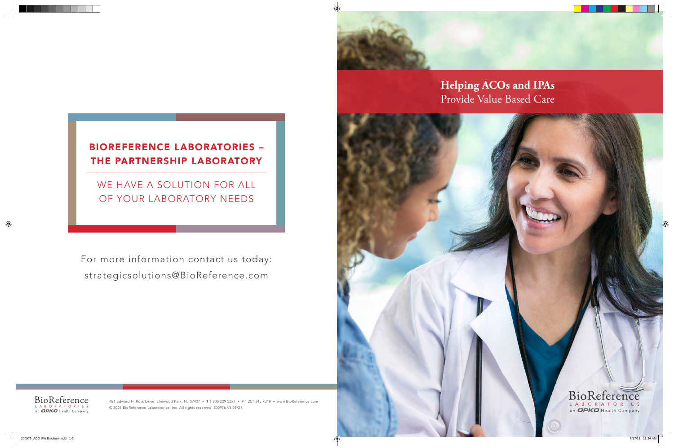481 Edward H. Ross Drive, Elmwood Park, NJ 07407 ■ T 1 800 229 5227 ■ F 1 201 345 7048 ■ www.BioReference.com © 2021 BioReference Laboratories, Inc. All rights reserved. 200976 V3 05/21

# **Helping ACOs and IPAs**  Provide Value Based Care

#### BioReference LABORATORIES an OPKO Health Company



# BIOREFERENCE LABORATORIES – THE PARTNERSHIP LABORATORY

WE HAVE A SOLUTION FOR ALL OF YOUR LABORATORY NEEDS

For more information contact us today: strategicsolutions@BioReference.com